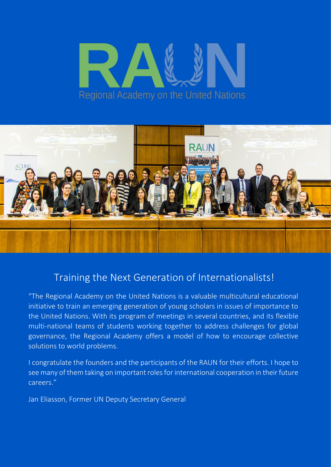# Regional Academy on the United Nations



# Training the Next Generation of Internationalists!

"The Regional Academy on the United Nations is a valuable multicultural educational initiative to train an emerging generation of young scholars in issues of importance to the United Nations. With its program of meetings in several countries, and its flexible multi-national teams of students working together to address challenges for global governance, the Regional Academy offers a model of how to encourage collective solutions to world problems.

I congratulate the founders and the participants of the RAUN for their efforts. I hope to see many of them taking on important roles for international cooperation in their future careers."

Jan Eliasson, Former UN Deputy Secretary General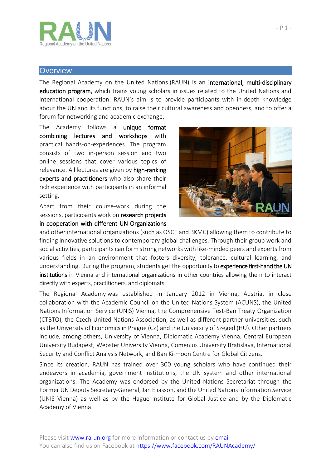

### **Overview**

The Regional Academy on the United Nations (RAUN) is an international, multi-disciplinary education program, which trains young scholars in issues related to the United Nations and international cooperation. RAUN's aim is to provide participants with in-depth knowledge about the UN and its functions, to raise their cultural awareness and openness, and to offer a forum for networking and academic exchange.

The Academy follows a unique format combining lectures and workshops with practical hands-on-experiences. The program consists of two in-person session and two online sessions that cover various topics of relevance. All lectures are given by high-ranking experts and practitioners who also share their rich experience with participants in an informal setting.

Apart from their course-work during the sessions, participants work on research projects in cooperation with different UN Organizations



and other international organizations (such as OSCE and BKMC) allowing them to contribute to finding innovative solutions to contemporary global challenges. Through their group work and social activities, participants can form strong networks with like-minded peers and experts from various fields in an environment that fosters diversity, tolerance, cultural learning, and understanding. During the program, students get the opportunity to experience first-hand the UN institutions in Vienna and international organizations in other countries allowing them to interact directly with experts, practitioners, and diplomats.

The Regional Academy was established in January 2012 in Vienna, Austria, in close collaboration with the Academic Council on the United Nations System (ACUNS), the United Nations Information Service (UNIS) Vienna, the Comprehensive Test-Ban Treaty Organization (CTBTO), the Czech United Nations Association, as well as different partner universities, such as the University of Economics in Prague (CZ) and the University of Szeged (HU). Other partners include, among others, University of Vienna, Diplomatic Academy Vienna, Central European University Budapest, Webster University Vienna, Comenius University Bratislava, International Security and Conflict Analysis Network, and Ban Ki-moon Centre for Global Citizens.

Since its creation, RAUN has trained over 300 young scholars who have continued their endeavors in academia, government institutions, the UN system and other international organizations. The Academy was endorsed by the United Nations Secretariat through the Former UN Deputy Secretary-General, Jan Eliasson, and the United Nations Information Service (UNIS Vienna) as well as by the Hague Institute for Global Justice and by the Diplomatic Academy of Vienna.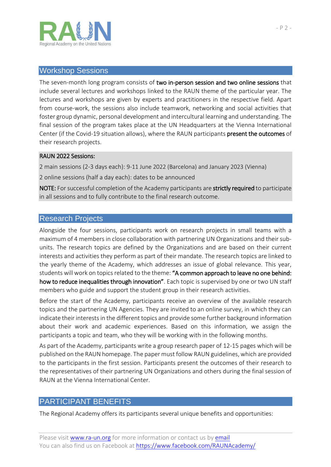

### Workshop Sessions

The seven-month long program consists of two in-person session and two online sessions that include several lectures and workshops linked to the RAUN theme of the particular year. The lectures and workshops are given by experts and practitioners in the respective field. Apart from course-work, the sessions also include teamwork, networking and social activities that foster group dynamic, personal development and intercultural learning and understanding. The final session of the program takes place at the UN Headquarters at the Vienna International Center (if the Covid-19 situation allows), where the RAUN participants present the outcomes of their research projects.

### RAUN 2022 Sessions:

2 main sessions (2-3 days each): 9-11 June 2022 (Barcelona) and January 2023 (Vienna)

2 online sessions (half a day each): dates to be announced

NOTE: For successful completion of the Academy participants are strictly required to participate in all sessions and to fully contribute to the final research outcome.

# Research Projects

Alongside the four sessions, participants work on research projects in small teams with a maximum of 4 members in close collaboration with partnering UN Organizations and their subunits. The research topics are defined by the Organizations and are based on their current interests and activities they perform as part of their mandate. The research topics are linked to the yearly theme of the Academy, which addresses an issue of global relevance. This year, students will work on topics related to the theme: "A common approach to leave no one behind: how to reduce inequalities through innovation". Each topic is supervised by one or two UN staff members who guide and support the student group in their research activities.

Before the start of the Academy, participants receive an overview of the available research topics and the partnering UN Agencies. They are invited to an online survey, in which they can indicate their interests in the different topics and provide some further background information about their work and academic experiences. Based on this information, we assign the participants a topic and team, who they will be working with in the following months.

As part of the Academy, participants write a group research paper of 12-15 pages which will be published on the RAUN homepage. The paper must follow RAUN guidelines, which are provided to the participants in the first session. Participants present the outcomes of their research to the representatives of their partnering UN Organizations and others during the final session of RAUN at the Vienna International Center.

# PARTICIPANT BENEFITS

The Regional Academy offers its participants several unique benefits and opportunities: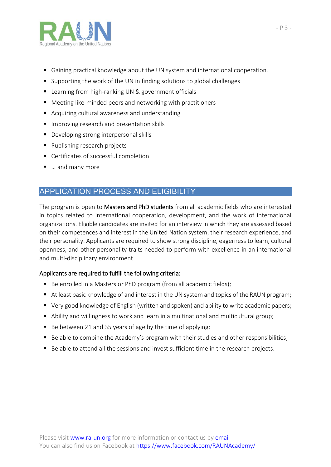

- Gaining practical knowledge about the UN system and international cooperation.
- Supporting the work of the UN in finding solutions to global challenges
- Learning from high-ranking UN & government officials
- Meeting like-minded peers and networking with practitioners
- Acquiring cultural awareness and understanding
- **Improving research and presentation skills**
- Developing strong interpersonal skills
- **Publishing research projects**
- Certificates of successful completion
- … and many more

# APPLICATION PROCESS AND ELIGIBILITY

The program is open to **Masters and PhD students** from all academic fields who are interested in topics related to international cooperation, development, and the work of international organizations. Eligible candidates are invited for an interview in which they are assessed based on their competences and interest in the United Nation system, their research experience, and their personality. Applicants are required to show strong discipline, eagerness to learn, cultural openness, and other personality traits needed to perform with excellence in an international and multi-disciplinary environment.

# Applicants are required to fulfill the following criteria:

- Be enrolled in a Masters or PhD program (from all academic fields);
- At least basic knowledge of and interest in the UN system and topics of the RAUN program;
- Very good knowledge of English (written and spoken) and ability to write academic papers;
- Ability and willingness to work and learn in a multinational and multicultural group;
- Be between 21 and 35 years of age by the time of applying;
- Be able to combine the Academy's program with their studies and other responsibilities;
- Be able to attend all the sessions and invest sufficient time in the research projects.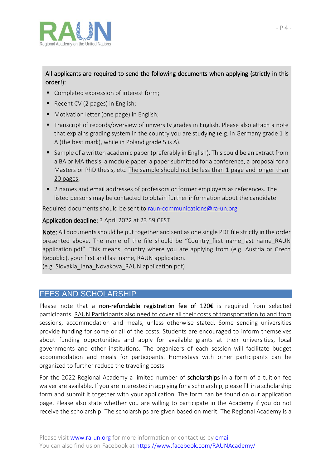

# All applicants are required to send the following documents when applying (strictly in this order!):

- Completed expression of interest form;
- Recent CV (2 pages) in English;
- **Motivation letter (one page) in English;**
- Transcript of records/overview of university grades in English. Please also attach a note that explains grading system in the country you are studying (e.g. in Germany grade 1 is A (the best mark), while in Poland grade 5 is A).
- **Sample of a written academic paper (preferably in English). This could be an extract from** a BA or MA thesis, a module paper, a paper submitted for a conference, a proposal for a Masters or PhD thesis, etc. The sample should not be less than 1 page and longer than 20 pages;
- 2 names and email addresses of professors or former employers as references. The listed persons may be contacted to obtain further information about the candidate.

Required documents should be sent t[o raun-communications@ra-un.org](mailto:raun-communications@ra-un.org)

## Application deadline: 3 April 2022 at 23.59 CEST

Note: All documents should be put together and sent as one single PDF file strictly in the order presented above. The name of the file should be "Country\_first name\_last name\_RAUN application.pdf". This means, country where you are applying from (e.g. Austria or Czech Republic), your first and last name, RAUN application.

(e.g. Slovakia\_Jana\_Novakova\_RAUN application.pdf)

# FEES AND SCHOLARSHIP

Please note that a non-refundable registration fee of 120€ is required from selected participants. RAUN Participants also need to cover all their costs of transportation to and from sessions, accommodation and meals, unless otherwise stated. Some sending universities provide funding for some or all of the costs. Students are encouraged to inform themselves about funding opportunities and apply for available grants at their universities, local governments and other institutions. The organizers of each session will facilitate budget accommodation and meals for participants. Homestays with other participants can be organized to further reduce the traveling costs.

For the 2022 Regional Academy a limited number of scholarships in a form of a tuition fee waiver are available. If you are interested in applying for a scholarship, please fill in a scholarship form and submit it together with your application. The form can be found on our application page. Please also state whether you are willing to participate in the Academy if you do not receive the scholarship. The scholarships are given based on merit. The Regional Academy is a